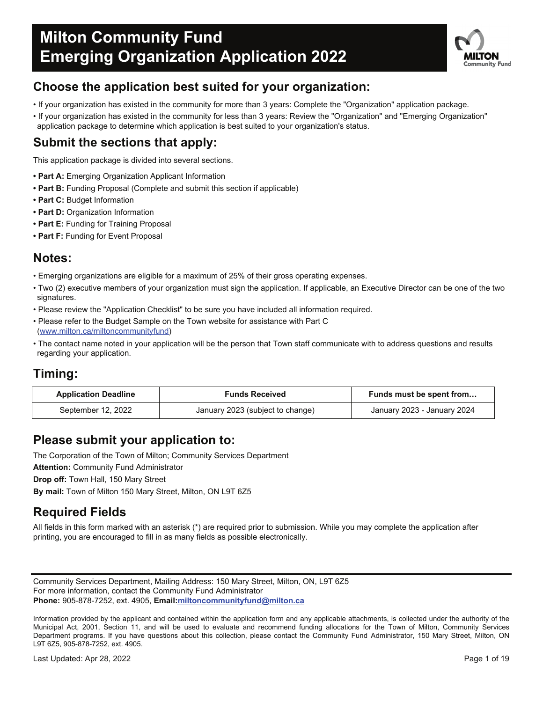

### **Choose the application best suited for your organization:**

- If your organization has existed in the community for more than 3 years: Complete the "Organization" application package.
- If your organization has existed in the community for less than 3 years: Review the "Organization" and "Emerging Organization" application package to determine which application is best suited to your organization's status.

### **Submit the sections that apply:**

This application package is divided into several sections.

- **Part A:** Emerging Organization Applicant Information
- **Part B:** Funding Proposal (Complete and submit this section if applicable)
- **Part C:** Budget Information
- **Part D:** Organization Information
- **Part E:** Funding for Training Proposal
- **Part F:** Funding for Event Proposal

### **Notes:**

- Emerging organizations are eligible for a maximum of 25% of their gross operating expenses.
- Two (2) executive members of your organization must sign the application. If applicable, an Executive Director can be one of the two signatures.
- Please review the "Application Checklist" to be sure you have included all information required.
- Please refer to the Budget Sample on the Town website for assistance with Part C (www.milton.ca/miltoncommunityfund)
- The contact name noted in your application will be the person that Town staff communicate with to address questions and results regarding your application.

### **Timing:**

| <b>Application Deadline</b> | <b>Funds Received</b>            | Funds must be spent from    |
|-----------------------------|----------------------------------|-----------------------------|
| September 12, 2022          | January 2023 (subject to change) | January 2023 - January 2024 |

### **Please submit your application to:**

The Corporation of the Town of Milton; Community Services Department

**Attention:** Community Fund Administrator

**Drop off:** Town Hall, 150 Mary Street

**By mail:** Town of Milton 150 Mary Street, Milton, ON L9T 6Z5

### **Required Fields**

All fields in this form marked with an asterisk (\*) are required prior to submission. While you may complete the application after printing, you are encouraged to fill in as many fields as possible electronically.

Community Services Department, Mailing Address: 150 Mary Street, Milton, ON, L9T 6Z5 For more information, contact the Community Fund Administrator **Phone:** 905-878-7252, ext. 4905, **Email:miltoncommunityfund@milton.ca**

Information provided by the applicant and contained within the application form and any applicable attachments, is collected under the authority of the Municipal Act, 2001, Section 11, and will be used to evaluate and recommend funding allocations for the Town of Milton, Community Services Department programs. If you have questions about this collection, please contact the Community Fund Administrator, 150 Mary Street, Milton, ON L9T 6Z5, 905-878-7252, ext. 4905.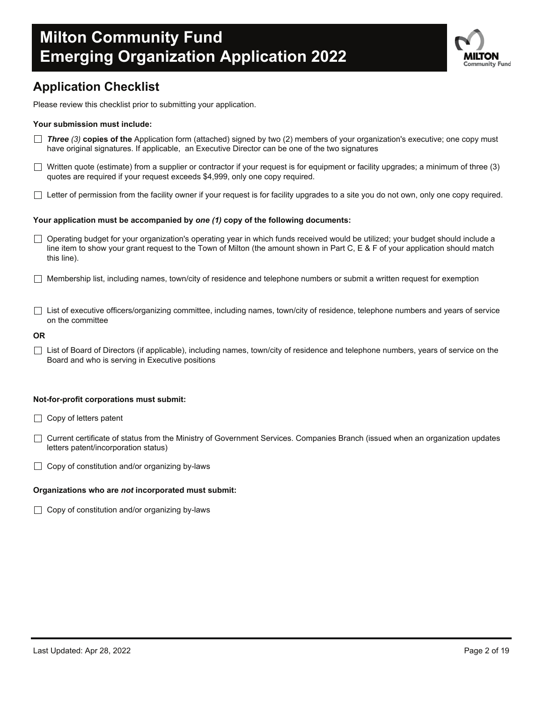

### **Application Checklist**

Please review this checklist prior to submitting your application.

### **Your submission must include:**

- *Three (3)* **copies of the** Application form (attached) signed by two (2) members of your organization's executive; one copy must have original signatures. If applicable, an Executive Director can be one of the two signatures
- $\Box$  Written quote (estimate) from a supplier or contractor if your request is for equipment or facility upgrades; a minimum of three (3) quotes are required if your request exceeds \$4,999, only one copy required.
- $\Box$  Letter of permission from the facility owner if your request is for facility upgrades to a site you do not own, only one copy required.

### **Your application must be accompanied by** *one (1)* **copy of the following documents:**

- Operating budget for your organization's operating year in which funds received would be utilized; your budget should include a line item to show your grant request to the Town of Milton (the amount shown in Part C, E & F of your application should match this line).
- $\Box$  Membership list, including names, town/city of residence and telephone numbers or submit a written request for exemption
- □ List of executive officers/organizing committee, including names, town/city of residence, telephone numbers and years of service on the committee

#### **OR**

 $\Box$  List of Board of Directors (if applicable), including names, town/city of residence and telephone numbers, years of service on the Board and who is serving in Executive positions

### **Not-for-profit corporations must submit:**

- $\Box$  Copy of letters patent
- Current certificate of status from the Ministry of Government Services. Companies Branch (issued when an organization updates letters patent/incorporation status)
- $\Box$  Copy of constitution and/or organizing by-laws

#### **Organizations who are** *not* **incorporated must submit:**

 $\Box$  Copy of constitution and/or organizing by-laws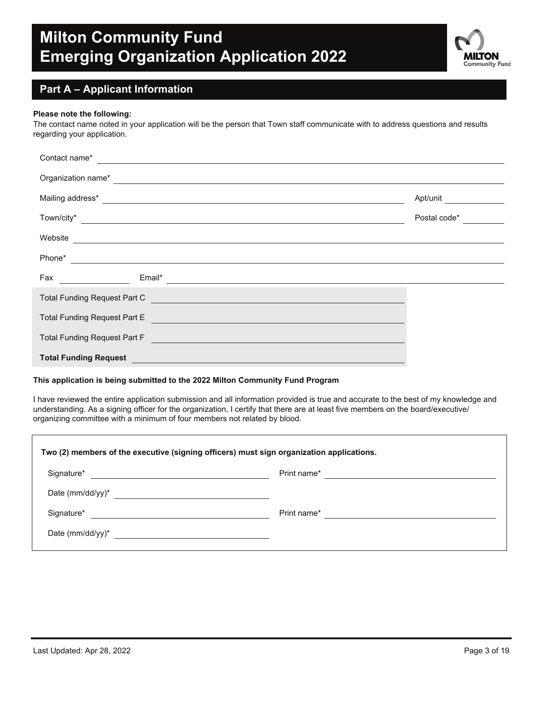

### **Part A – Applicant Information**

#### **Please note the following:**

The contact name noted in your application will be the person that Town staff communicate with to address questions and results regarding your application.

| Contact name*                                                                                                                                                                                                                                                                                         |              |  |  |  |  |
|-------------------------------------------------------------------------------------------------------------------------------------------------------------------------------------------------------------------------------------------------------------------------------------------------------|--------------|--|--|--|--|
| Organization name*<br><u> 1989 - Jan Sterlinger, skriuwer fan it ferstjer fan it ferstjer fan it ferstjer fan it ferstjer fan it ferstj</u>                                                                                                                                                           |              |  |  |  |  |
| Mailing address* Production of the contract of the contract of the contract of the contract of the contract of the contract of the contract of the contract of the contract of the contract of the contract of the contract of                                                                        | Apt/unit     |  |  |  |  |
| Town/city*                                                                                                                                                                                                                                                                                            | Postal code* |  |  |  |  |
| Website                                                                                                                                                                                                                                                                                               |              |  |  |  |  |
| Phone*                                                                                                                                                                                                                                                                                                |              |  |  |  |  |
| Fax and the contract of the contract of the contract of the contract of the contract of the contract of the contract of the contract of the contract of the contract of the contract of the contract of the contract of the co<br>Email*<br><u> 1980 - Andrea Brand, amerikansk politik (d. 1980)</u> |              |  |  |  |  |
| <b>Total Funding Request Part C</b>                                                                                                                                                                                                                                                                   |              |  |  |  |  |
| Total Funding Request Part E<br><u> 1989 - Johann Harry Harry Harry Harry Harry Harry Harry Harry Harry Harry Harry Harry Harry Harry Harry Harry Harry Harry Harry Harry Harry Harry Harry Harry Harry Harry Harry Harry Harry Harry Harry Harry Harry Harry Ha</u>                                  |              |  |  |  |  |
| Total Funding Request Part F                                                                                                                                                                                                                                                                          |              |  |  |  |  |
| <b>Total Funding Request</b>                                                                                                                                                                                                                                                                          |              |  |  |  |  |

### **This application is being submitted to the 2022 Milton Community Fund Program**

I have reviewed the entire application submission and all information provided is true and accurate to the best of my knowledge and understanding. As a signing officer for the organization, I certify that there are at least five members on the board/executive/ organizing committee with a minimum of four members not related by blood.

| Two (2) members of the executive (signing officers) must sign organization applications. |             |  |  |  |
|------------------------------------------------------------------------------------------|-------------|--|--|--|
| Signature*                                                                               | Print name* |  |  |  |
| Date (mm/dd/yy) $*$<br><u> 1989 - Andrea Andrew Maria (b. 1989)</u>                      |             |  |  |  |
| Signature*                                                                               | Print name* |  |  |  |
|                                                                                          |             |  |  |  |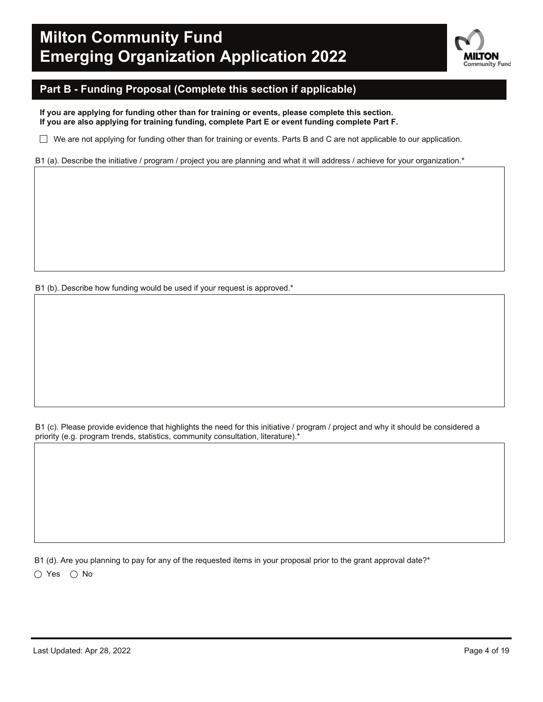

### **Part B - Funding Proposal (Complete this section if applicable)**

**If you are applying for funding other than for training or events, please complete this section. If you are also applying for training funding, complete Part E or event funding complete Part F.**

 $\Box$  We are not applying for funding other than for training or events. Parts B and C are not applicable to our application.

B1 (a). Describe the initiative / program / project you are planning and what it will address / achieve for your organization.\*

B1 (b). Describe how funding would be used if your request is approved.\*

B1 (c). Please provide evidence that highlights the need for this initiative / program / project and why it should be considered a priority (e.g. program trends, statistics, community consultation, literature).\*

B1 (d). Are you planning to pay for any of the requested items in your proposal prior to the grant approval date?\*  $\bigcirc$  Yes  $\bigcirc$  No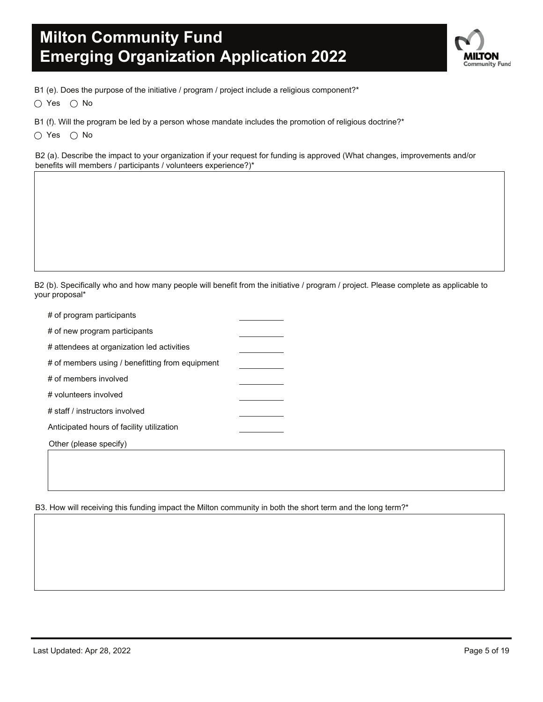

B1 (e). Does the purpose of the initiative / program / project include a religious component?\*

 $\bigcirc$  Yes  $\bigcirc$  No

B1 (f). Will the program be led by a person whose mandate includes the promotion of religious doctrine?\*

 $\bigcirc$  Yes  $\bigcirc$  No

B2 (a). Describe the impact to your organization if your request for funding is approved (What changes, improvements and/or benefits will members / participants / volunteers experience?)\*

B2 (b). Specifically who and how many people will benefit from the initiative / program / project. Please complete as applicable to your proposal\*

| # of program participants                       |  |
|-------------------------------------------------|--|
| # of new program participants                   |  |
| # attendees at organization led activities      |  |
| # of members using / benefitting from equipment |  |
| # of members involved                           |  |
| # volunteers involved                           |  |
| # staff / instructors involved                  |  |
| Anticipated hours of facility utilization       |  |
| Other (please specify)                          |  |

B3. How will receiving this funding impact the Milton community in both the short term and the long term?\*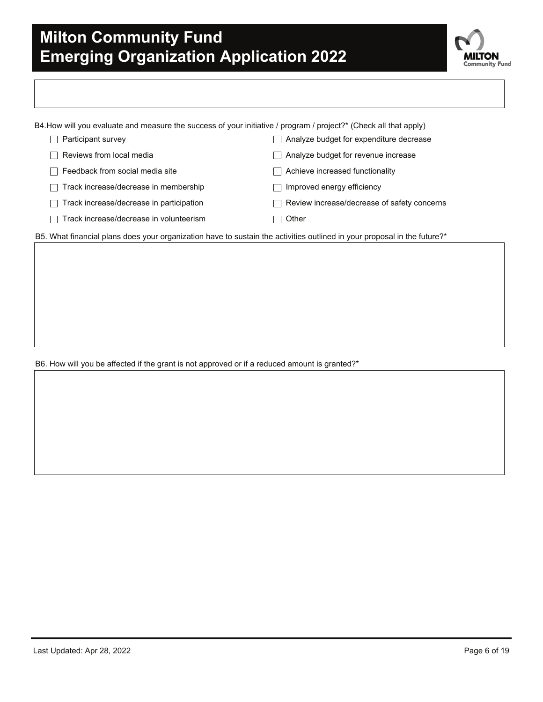

| B4.How will you evaluate and measure the success of your initiative / program / project?* (Check all that apply) |                                          |                                             |  |
|------------------------------------------------------------------------------------------------------------------|------------------------------------------|---------------------------------------------|--|
|                                                                                                                  | Participant survey                       | Analyze budget for expenditure decrease     |  |
|                                                                                                                  | Reviews from local media                 | Analyze budget for revenue increase         |  |
|                                                                                                                  | Feedback from social media site          | Achieve increased functionality             |  |
|                                                                                                                  | Track increase/decrease in membership    | Improved energy efficiency                  |  |
|                                                                                                                  | Track increase/decrease in participation | Review increase/decrease of safety concerns |  |
|                                                                                                                  | Track increase/decrease in volunteerism  | Other                                       |  |

B5. What financial plans does your organization have to sustain the activities outlined in your proposal in the future?\*

B6. How will you be affected if the grant is not approved or if a reduced amount is granted?\*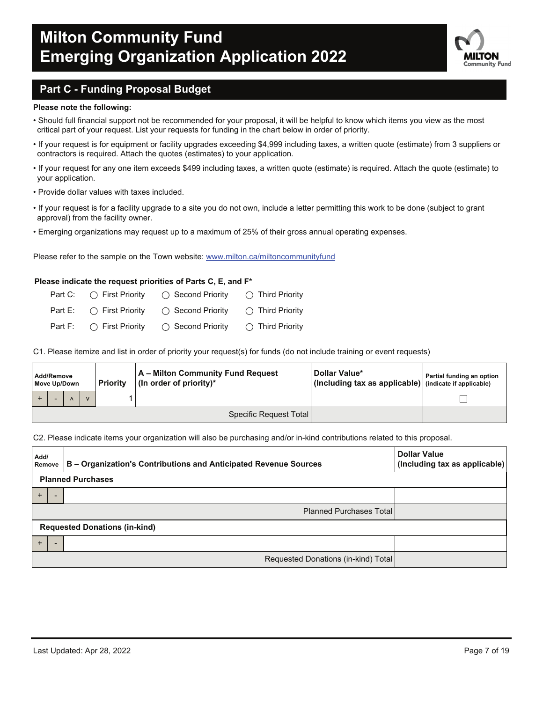

### **Part C - Funding Proposal Budget**

#### **Please note the following:**

- Should full financial support not be recommended for your proposal, it will be helpful to know which items you view as the most critical part of your request. List your requests for funding in the chart below in order of priority.
- If your request is for equipment or facility upgrades exceeding \$4,999 including taxes, a written quote (estimate) from 3 suppliers or contractors is required. Attach the quotes (estimates) to your application.
- If your request for any one item exceeds \$499 including taxes, a written quote (estimate) is required. Attach the quote (estimate) to your application.
- Provide dollar values with taxes included.
- If your request is for a facility upgrade to a site you do not own, include a letter permitting this work to be done (subject to grant approval) from the facility owner.
- Emerging organizations may request up to a maximum of 25% of their gross annual operating expenses.

Please refer to the sample on the Town website: www.milton.ca/miltoncommunityfund

#### **Please indicate the request priorities of Parts C, E, and F\***

| Part C: $\bigcap$ First Priority | $\bigcap$ Second Priority                                    | $\bigcap$ Third Priority  |
|----------------------------------|--------------------------------------------------------------|---------------------------|
|                                  | Part E: $\bigcirc$ First Priority $\bigcirc$ Second Priority | $\bigcirc$ Third Priority |
| Part F: $\bigcap$ First Priority | ◯ Second Priority                                            | $\bigcirc$ Third Priority |

C1. Please itemize and list in order of priority your request(s) for funds (do not include training or event requests)

| Add/Remove<br>Move Up/Down |  | <b>Priority</b> | A - Milton Community Fund Request<br>(In order of priority)* | Dollar Value*<br>(Including tax as applicable) (indicate if applicable) | Partial funding an option |  |  |
|----------------------------|--|-----------------|--------------------------------------------------------------|-------------------------------------------------------------------------|---------------------------|--|--|
|                            |  |                 |                                                              |                                                                         |                           |  |  |
|                            |  |                 |                                                              |                                                                         | Specific Request Total    |  |  |

#### C2. Please indicate items your organization will also be purchasing and/or in-kind contributions related to this proposal.

| Add/      | Remove                               | B - Organization's Contributions and Anticipated Revenue Sources | <b>Dollar Value</b><br>(Including tax as applicable) |  |
|-----------|--------------------------------------|------------------------------------------------------------------|------------------------------------------------------|--|
|           |                                      | <b>Planned Purchases</b>                                         |                                                      |  |
|           |                                      |                                                                  |                                                      |  |
|           |                                      | <b>Planned Purchases Total</b>                                   |                                                      |  |
|           | <b>Requested Donations (in-kind)</b> |                                                                  |                                                      |  |
| $\ddot{}$ |                                      |                                                                  |                                                      |  |
|           |                                      | Requested Donations (in-kind) Total                              |                                                      |  |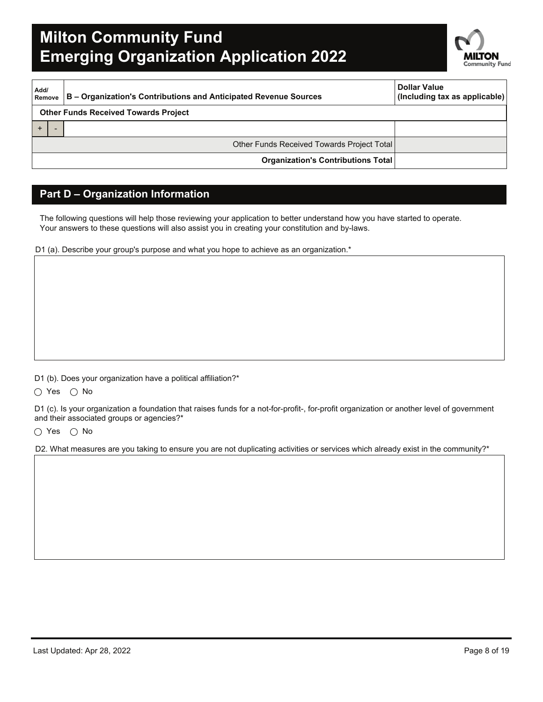

| Add/<br>B - Organization's Contributions and Anticipated Revenue Sources<br>Remove |                                             | <b>Dollar Value</b><br>(Including tax as applicable) |
|------------------------------------------------------------------------------------|---------------------------------------------|------------------------------------------------------|
|                                                                                    | <b>Other Funds Received Towards Project</b> |                                                      |
|                                                                                    |                                             |                                                      |
|                                                                                    | Other Funds Received Towards Project Total  |                                                      |
|                                                                                    | <b>Organization's Contributions Total</b>   |                                                      |

### **Part D – Organization Information**

The following questions will help those reviewing your application to better understand how you have started to operate. Your answers to these questions will also assist you in creating your constitution and by-laws.

D1 (a). Describe your group's purpose and what you hope to achieve as an organization.\*

D1 (b). Does your organization have a political affiliation?\*

 $\bigcirc$  Yes  $\bigcirc$  No

D1 (c). Is your organization a foundation that raises funds for a not-for-profit-, for-profit organization or another level of government and their associated groups or agencies?\*

 $\bigcirc$  Yes  $\bigcirc$  No

D2. What measures are you taking to ensure you are not duplicating activities or services which already exist in the community?\*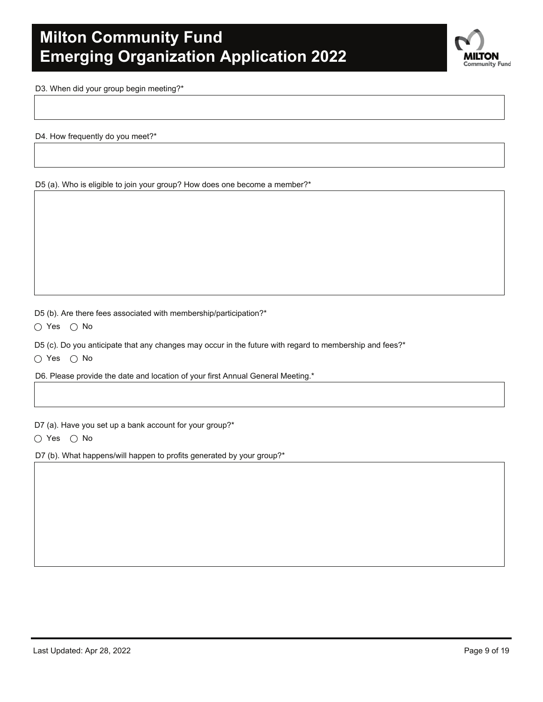

D3. When did your group begin meeting?\*

D4. How frequently do you meet?\*

D5 (a). Who is eligible to join your group? How does one become a member?\*

D5 (b). Are there fees associated with membership/participation?\*

 $\bigcirc$  Yes  $\bigcirc$  No

D5 (c). Do you anticipate that any changes may occur in the future with regard to membership and fees?\*

 $\bigcirc$  Yes  $\bigcirc$  No

D6. Please provide the date and location of your first Annual General Meeting.\*

D7 (a). Have you set up a bank account for your group?\*

 $\bigcirc$  Yes  $\bigcirc$  No

D7 (b). What happens/will happen to profits generated by your group?\*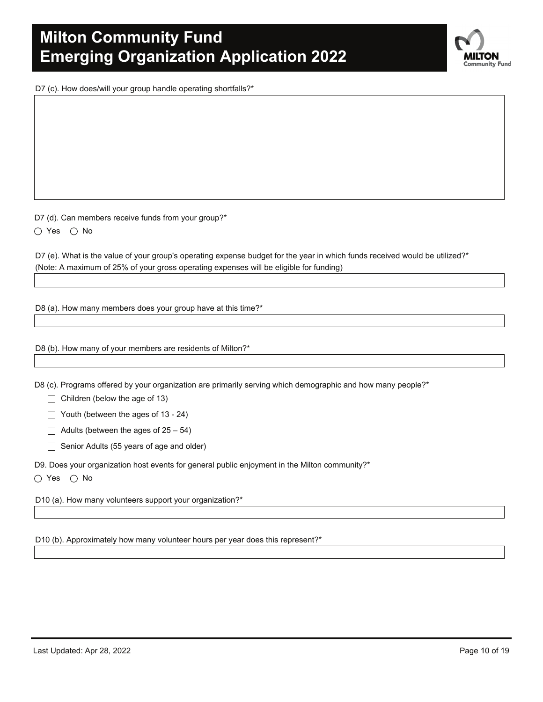D7 (c). How does/will your group handle operating shortfalls?\*

D7 (d). Can members receive funds from your group?\*

 $\bigcirc$  Yes  $\bigcirc$  No

D7 (e). What is the value of your group's operating expense budget for the year in which funds received would be utilized?\* (Note: A maximum of 25% of your gross operating expenses will be eligible for funding)

D8 (a). How many members does your group have at this time?\*

D8 (b). How many of your members are residents of Milton?\*

D8 (c). Programs offered by your organization are primarily serving which demographic and how many people?\*

 $\Box$  Children (below the age of 13)

 $\Box$  Youth (between the ages of 13 - 24)

 $\Box$  Adults (between the ages of 25 – 54)

 $\Box$  Senior Adults (55 years of age and older)

D9. Does your organization host events for general public enjoyment in the Milton community?\*

 $\bigcirc$  Yes  $\bigcirc$  No

D10 (a). How many volunteers support your organization?\*

D10 (b). Approximately how many volunteer hours per year does this represent?\*

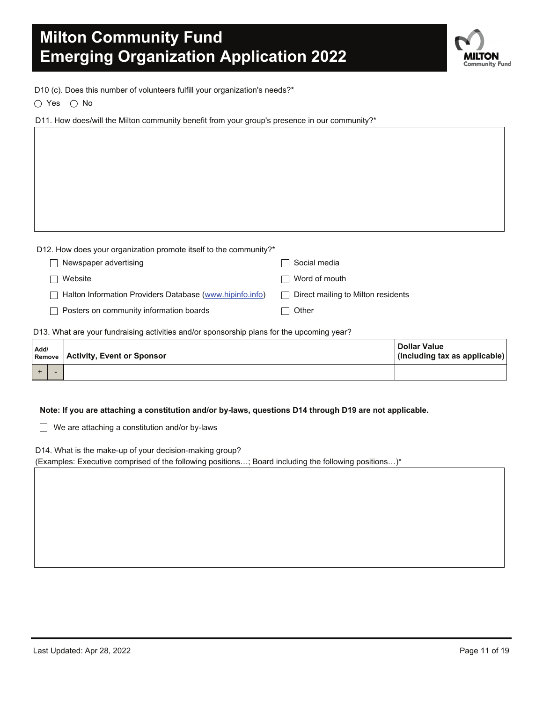**.TON** Community Fund

D10 (c). Does this number of volunteers fulfill your organization's needs?\*

 $\bigcirc$  Yes  $\bigcirc$  No

D11. How does/will the Milton community benefit from your group's presence in our community?\*

| D12. How does your organization promote itself to the community?* |                                                    |
|-------------------------------------------------------------------|----------------------------------------------------|
| Newspaper advertising                                             | Social media                                       |
| Website                                                           | Word of mouth<br>- 1                               |
| Halton Information Providers Database (www.hipinfo.info)          | Direct mailing to Milton residents<br>$\mathbf{I}$ |
| Posters on community information boards                           | Other                                              |
|                                                                   |                                                    |

D13. What are your fundraising activities and/or sponsorship plans for the upcoming year?

| Add/ |  | <b>Remove Activity, Event or Sponsor</b> | <b>Dollar Value</b><br>(Including tax as applicable) |
|------|--|------------------------------------------|------------------------------------------------------|
|      |  |                                          |                                                      |

#### **Note: If you are attaching a constitution and/or by-laws, questions D14 through D19 are not applicable.**

 $\Box$  We are attaching a constitution and/or by-laws

D14. What is the make-up of your decision-making group?

(Examples: Executive comprised of the following positions…; Board including the following positions…)\*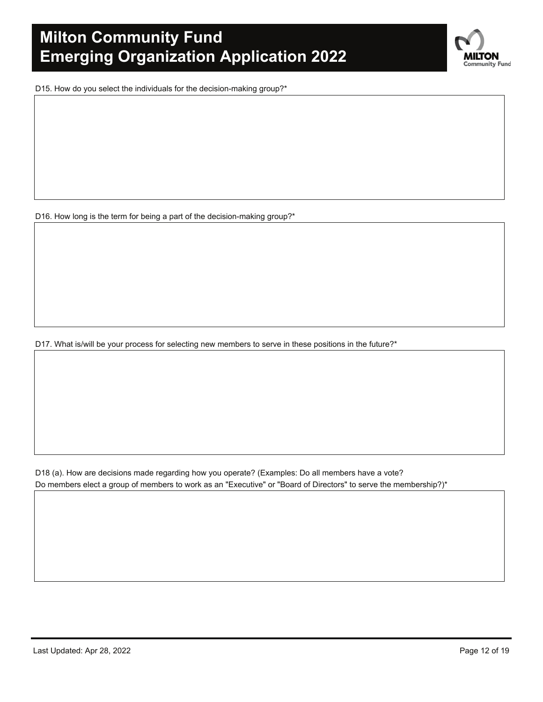**NLTON Community Fund** 

D15. How do you select the individuals for the decision-making group?\*

D16. How long is the term for being a part of the decision-making group?\*

D17. What is/will be your process for selecting new members to serve in these positions in the future?\*

D18 (a). How are decisions made regarding how you operate? (Examples: Do all members have a vote? Do members elect a group of members to work as an "Executive" or "Board of Directors" to serve the membership?)\*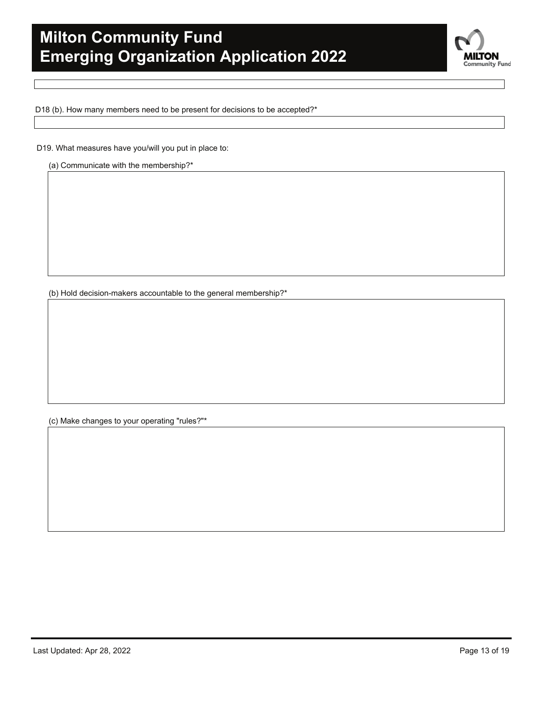

D18 (b). How many members need to be present for decisions to be accepted?\*

D19. What measures have you/will you put in place to:

(a) Communicate with the membership?\*

(b) Hold decision-makers accountable to the general membership?\*

(c) Make changes to your operating "rules?"\*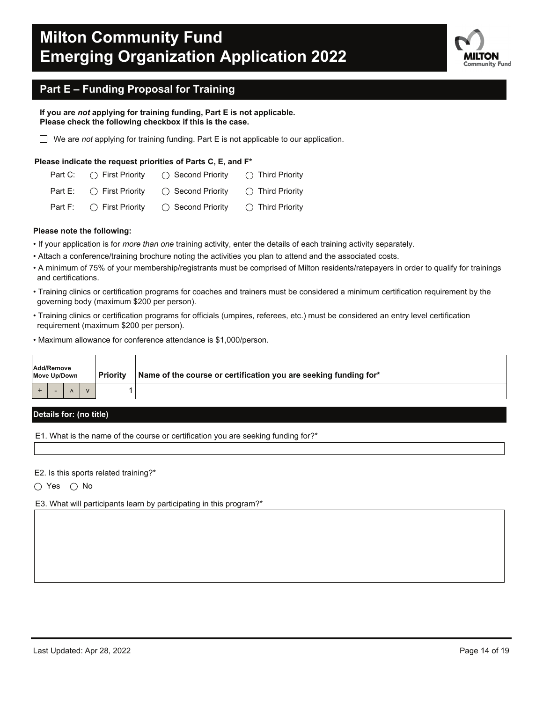

### **Part E – Funding Proposal for Training**

**If you are** *not* **applying for training funding, Part E is not applicable. Please check the following checkbox if this is the case.**

We are *not* applying for training funding. Part E is not applicable to our application.

#### **Please indicate the request priorities of Parts C, E, and F\***

| Part C: $\bigcap$ First Priority  | $\bigcap$ Second Priority  | $\bigcap$ Third Priority  |
|-----------------------------------|----------------------------|---------------------------|
| Part E: $\bigcap$ First Priority  | $\bigcap$ Second Priority  | $\bigcirc$ Third Priority |
| Part F: $\bigcirc$ First Priority | $\bigcirc$ Second Priority | $\bigcirc$ Third Priority |

#### **Please note the following:**

- If your application is for *more than one* training activity, enter the details of each training activity separately.
- Attach a conference/training brochure noting the activities you plan to attend and the associated costs.
- A minimum of 75% of your membership/registrants must be comprised of Milton residents/ratepayers in order to qualify for trainings and certifications.
- Training clinics or certification programs for coaches and trainers must be considered a minimum certification requirement by the governing body (maximum \$200 per person).
- Training clinics or certification programs for officials (umpires, referees, etc.) must be considered an entry level certification requirement (maximum \$200 per person).
- Maximum allowance for conference attendance is \$1,000/person.

| Add/Remove<br>Move Up/Down |  |  | l Prioritv | Name of the course or certification you are seeking funding for* |
|----------------------------|--|--|------------|------------------------------------------------------------------|
|                            |  |  |            |                                                                  |

### **Details for: (no title)**

E1. What is the name of the course or certification you are seeking funding for?\*

E2. Is this sports related training?\*

 $\bigcirc$  Yes  $\bigcirc$  No

E3. What will participants learn by participating in this program?\*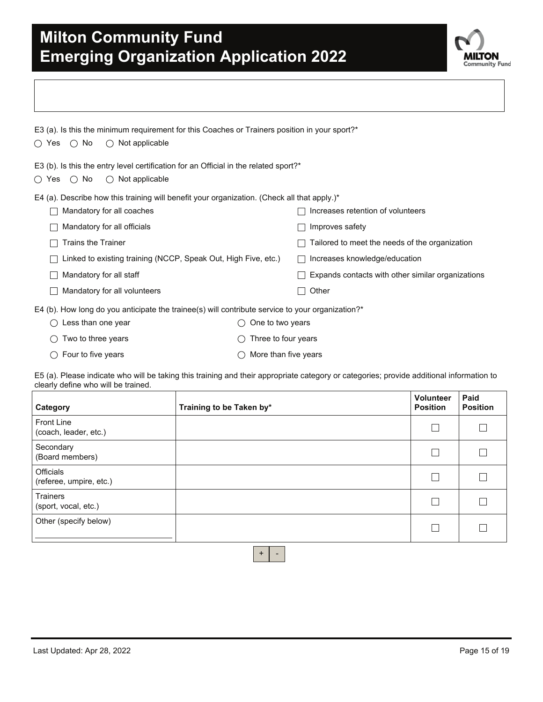

| E3 (a). Is this the minimum requirement for this Coaches or Trainers position in your sport?*    |                      |                                                   |  |  |  |  |  |  |  |
|--------------------------------------------------------------------------------------------------|----------------------|---------------------------------------------------|--|--|--|--|--|--|--|
| $\bigcap$ Yes $\bigcap$ No<br>$\bigcirc$ Not applicable                                          |                      |                                                   |  |  |  |  |  |  |  |
| E3 (b). Is this the entry level certification for an Official in the related sport?*             |                      |                                                   |  |  |  |  |  |  |  |
| $\bigcirc$ Yes $\bigcirc$ No<br>$\bigcirc$ Not applicable                                        |                      |                                                   |  |  |  |  |  |  |  |
| E4 (a). Describe how this training will benefit your organization. (Check all that apply.)*      |                      |                                                   |  |  |  |  |  |  |  |
| Mandatory for all coaches                                                                        |                      | Increases retention of volunteers                 |  |  |  |  |  |  |  |
| Mandatory for all officials                                                                      |                      | Improves safety                                   |  |  |  |  |  |  |  |
| <b>Trains the Trainer</b>                                                                        |                      | Tailored to meet the needs of the organization    |  |  |  |  |  |  |  |
| Linked to existing training (NCCP, Speak Out, High Five, etc.)                                   |                      | Increases knowledge/education                     |  |  |  |  |  |  |  |
| Mandatory for all staff                                                                          |                      | Expands contacts with other similar organizations |  |  |  |  |  |  |  |
| Mandatory for all volunteers                                                                     |                      | Other                                             |  |  |  |  |  |  |  |
| E4 (b). How long do you anticipate the trainee(s) will contribute service to your organization?* |                      |                                                   |  |  |  |  |  |  |  |
| Less than one year<br>( )                                                                        | One to two years     |                                                   |  |  |  |  |  |  |  |
| Two to three years<br>()                                                                         | Three to four years  |                                                   |  |  |  |  |  |  |  |
| Four to five years<br>( )                                                                        | More than five years |                                                   |  |  |  |  |  |  |  |

E5 (a). Please indicate who will be taking this training and their appropriate category or categories; provide additional information to clearly define who will be trained.

| Category                                    | Training to be Taken by* | Volunteer<br><b>Position</b> | Paid<br><b>Position</b> |
|---------------------------------------------|--------------------------|------------------------------|-------------------------|
| <b>Front Line</b><br>(coach, leader, etc.)  |                          | $\mathcal{L}_{\mathcal{A}}$  |                         |
| Secondary<br>(Board members)                |                          |                              |                         |
| <b>Officials</b><br>(referee, umpire, etc.) |                          |                              |                         |
| <b>Trainers</b><br>(sport, vocal, etc.)     |                          | π                            |                         |
| Other (specify below)                       |                          |                              |                         |

 $+$  -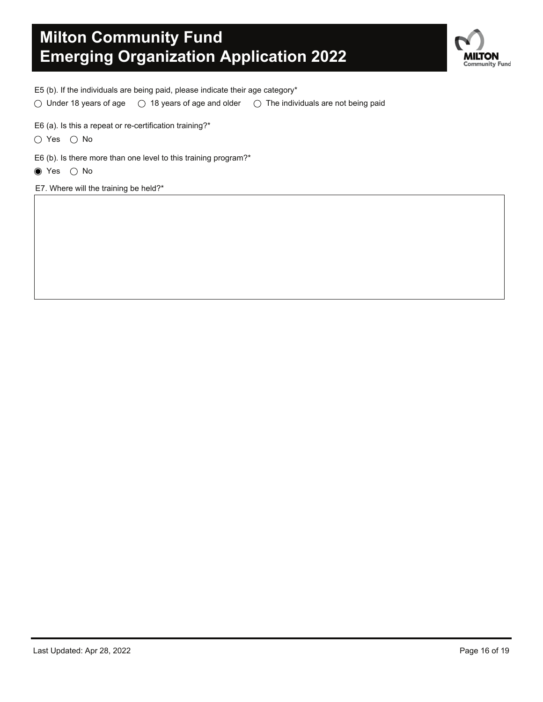

E5 (b). If the individuals are being paid, please indicate their age category\*

 $\circlearrowright$  Under 18 years of age  $\circlearrowright$  18 years of age and older  $\circlearrowright$  The individuals are not being paid

E6 (a). Is this a repeat or re-certification training?\*

 $\bigcirc$  Yes  $\bigcirc$  No

E6 (b). Is there more than one level to this training program?\*

 $\bullet$  Yes  $\circ$  No

E7. Where will the training be held?\*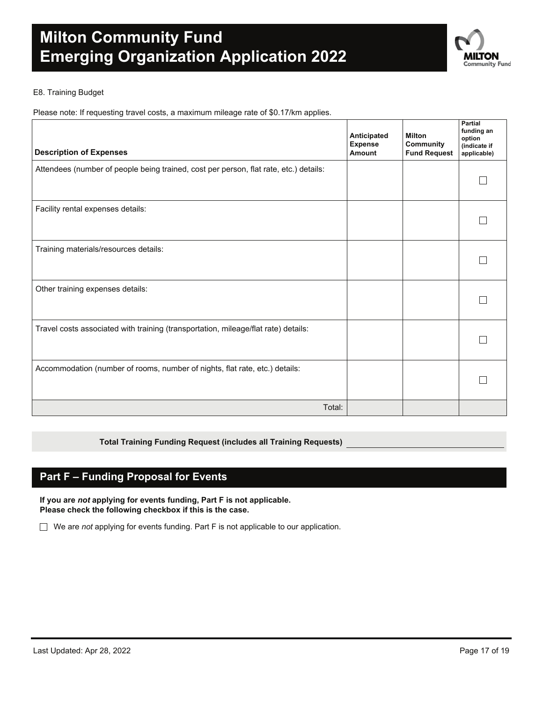

### E8. Training Budget

Please note: If requesting travel costs, a maximum mileage rate of \$0.17/km applies.

| <b>Description of Expenses</b>                                                        | Anticipated<br><b>Expense</b><br>Amount | <b>Milton</b><br>Community<br><b>Fund Request</b> | Partial<br>funding an<br>option<br>(indicate if<br>applicable) |
|---------------------------------------------------------------------------------------|-----------------------------------------|---------------------------------------------------|----------------------------------------------------------------|
| Attendees (number of people being trained, cost per person, flat rate, etc.) details: |                                         |                                                   |                                                                |
| Facility rental expenses details:                                                     |                                         |                                                   |                                                                |
| Training materials/resources details:                                                 |                                         |                                                   |                                                                |
| Other training expenses details:                                                      |                                         |                                                   |                                                                |
| Travel costs associated with training (transportation, mileage/flat rate) details:    |                                         |                                                   |                                                                |
| Accommodation (number of rooms, number of nights, flat rate, etc.) details:           |                                         |                                                   |                                                                |
| Total:                                                                                |                                         |                                                   |                                                                |

### **Total Training Funding Request (includes all Training Requests)**

### **Part F – Funding Proposal for Events**

**If you are** *not* **applying for events funding, Part F is not applicable. Please check the following checkbox if this is the case.**

We are *not* applying for events funding. Part F is not applicable to our application.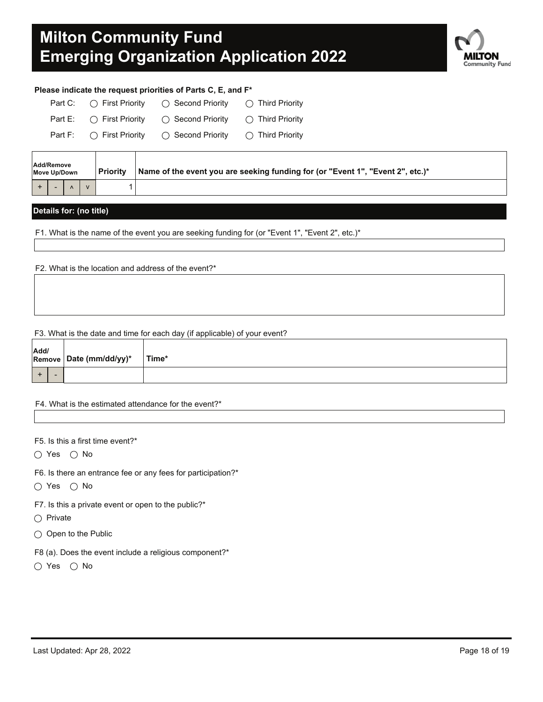

### **Please indicate the request priorities of Parts C, E, and F\***

| Part C: $\bigcap$ First Priority  | $\bigcap$ Second Priority                                    | $\bigcap$ Third Priority  |
|-----------------------------------|--------------------------------------------------------------|---------------------------|
|                                   | Part E: $\bigcirc$ First Priority $\bigcirc$ Second Priority | $\bigcirc$ Third Priority |
| Part F: $\bigcirc$ First Priority | ◯ Second Prioritv                                            | $\bigcirc$ Third Priority |

| Add/Remove<br>Move Up/Down |  |  | l Prioritv | Name of the event you are seeking funding for (or "Event 1", "Event 2", etc.)* |  |
|----------------------------|--|--|------------|--------------------------------------------------------------------------------|--|
|                            |  |  |            |                                                                                |  |

### **Details for: (no title)**

F1. What is the name of the event you are seeking funding for (or "Event 1", "Event 2", etc.)\*

F2. What is the location and address of the event?\*

#### F3. What is the date and time for each day (if applicable) of your event?

| Add/ | Remove Date (mm/dd/yy)* | Time* |  |  |  |
|------|-------------------------|-------|--|--|--|
|      |                         |       |  |  |  |

#### F4. What is the estimated attendance for the event?\*

F5. Is this a first time event?\*

 $\bigcirc$  Yes  $\bigcirc$  No

F6. Is there an entrance fee or any fees for participation?\*

 $\bigcirc$  Yes  $\bigcirc$  No

F7. Is this a private event or open to the public?\*

 $\bigcap$  Private

 $\bigcirc$  Open to the Public

F8 (a). Does the event include a religious component?\*

 $\bigcirc$  Yes  $\bigcirc$  No